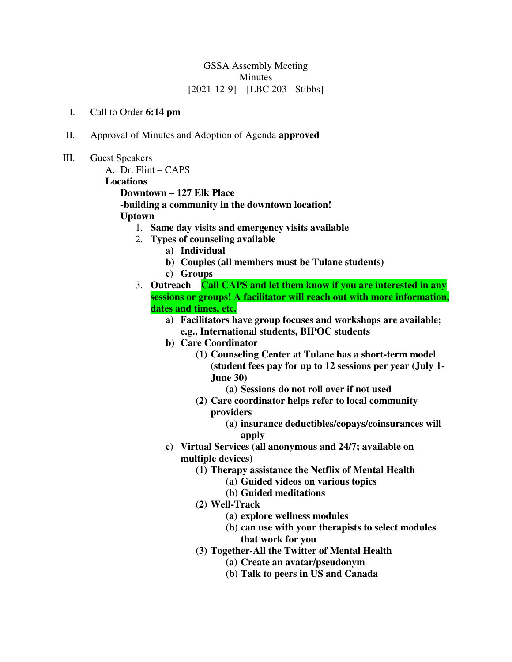### GSSA Assembly Meeting Minutes [2021-12-9] – [LBC 203 - Stibbs]

#### I. Call to Order **6:14 pm**

- II. Approval of Minutes and Adoption of Agenda **approved**
- III. Guest Speakers

A. Dr. Flint – CAPS **Locations Downtown – 127 Elk Place** 

**-building a community in the downtown location!** 

#### **Uptown**

- 1. **Same day visits and emergency visits available**
- 2. **Types of counseling available** 
	- **a) Individual**
	- **b) Couples (all members must be Tulane students)**
	- **c) Groups**
- 3. **Outreach – Call CAPS and let them know if you are interested in any sessions or groups! A facilitator will reach out with more information, dates and times, etc.** 
	- **a) Facilitators have group focuses and workshops are available; e.g., International students, BIPOC students**
	- **b) Care Coordinator** 
		- **(1) Counseling Center at Tulane has a short-term model (student fees pay for up to 12 sessions per year (July 1- June 30)** 
			- **(a) Sessions do not roll over if not used**
		- **(2) Care coordinator helps refer to local community** 
			- **providers** 
				- **(a) insurance deductibles/copays/coinsurances will apply**
		- **c) Virtual Services (all anonymous and 24/7; available on multiple devices)** 
			- **(1) Therapy assistance the Netflix of Mental Health** 
				- **(a) Guided videos on various topics**
				- **(b) Guided meditations**
			- **(2) Well-Track** 
				- **(a) explore wellness modules**
				- **(b) can use with your therapists to select modules that work for you**
			- **(3) Together-All the Twitter of Mental Health** 
				- **(a) Create an avatar/pseudonym**
				- **(b) Talk to peers in US and Canada**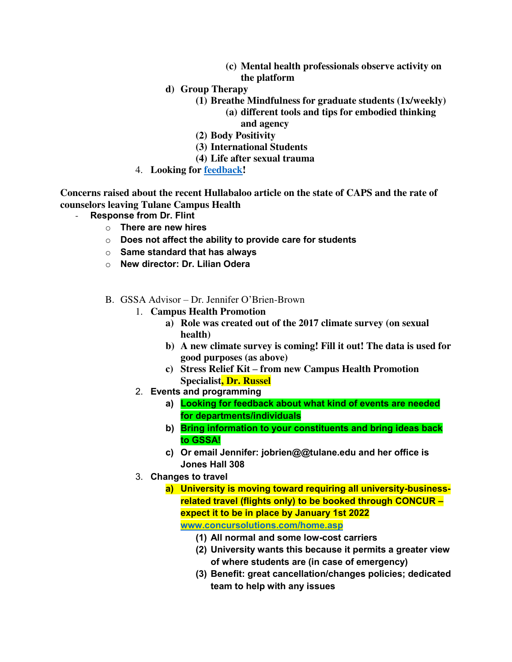- **(c) Mental health professionals observe activity on the platform**
- **d) Group Therapy** 
	- **(1) Breathe Mindfulness for graduate students (1x/weekly)** 
		- **(a) different tools and tips for embodied thinking and agency**
	- **(2) Body Positivity**
	- **(3) International Students**
	- **(4) Life after sexual trauma**
- 4. **Looking for [feedback!](https://tulane.co1.qualtrics.com/jfe/form/SV_6Ap6ddnLCsSjfeZ)**

**Concerns raised about the recent Hullabaloo article on the state of CAPS and the rate of counselors leaving Tulane Campus Health** 

- **Response from Dr. Flint** 
	- o **There are new hires**
	- o **Does not affect the ability to provide care for students**
	- o **Same standard that has always**
	- o **New director: Dr. Lilian Odera**
	- B. GSSA Advisor Dr. Jennifer O'Brien-Brown
		- 1. **Campus Health Promotion** 
			- **a) Role was created out of the 2017 climate survey (on sexual health)**
			- **b) A new climate survey is coming! Fill it out! The data is used for good purposes (as above)**
			- **c) Stress Relief Kit – from new Campus Health Promotion Specialist, Dr. Russel**
		- 2. **Events and programming** 
			- **a) Looking for feedback about what kind of events are needed for departments/individuals**
			- **b) Bring information to your constituents and bring ideas back to GSSA!**
			- **c) Or email Jennifer: jobrien@@tulane.edu and her office is Jones Hall 308**
		- 3. **Changes to travel** 
			- **a) University is moving toward requiring all university-businessrelated travel (flights only) to be booked through CONCUR – expect it to be in place by January 1st 2022 [www.concursolutions.com/home.asp](http://www.concursolutions.com/home.asp)**
				- **(1) All normal and some low-cost carriers**
				- **(2) University wants this because it permits a greater view of where students are (in case of emergency)**
				- **(3) Benefit: great cancellation/changes policies; dedicated team to help with any issues**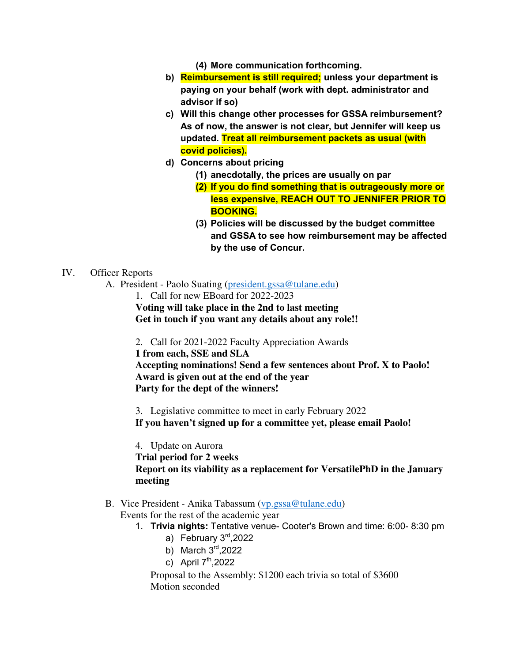- **(4) More communication forthcoming.**
- **b) Reimbursement is still required; unless your department is paying on your behalf (work with dept. administrator and advisor if so)**
- **c) Will this change other processes for GSSA reimbursement? As of now, the answer is not clear, but Jennifer will keep us updated. Treat all reimbursement packets as usual (with covid policies).**
- **d) Concerns about pricing** 
	- **(1) anecdotally, the prices are usually on par**
	- **(2) If you do find something that is outrageously more or less expensive, REACH OUT TO JENNIFER PRIOR TO BOOKING.**
	- **(3) Policies will be discussed by the budget committee and GSSA to see how reimbursement may be affected by the use of Concur.**

#### IV. Officer Reports

- A. President Paolo Suating [\(president.gssa@tulane.edu\)](mailto:president.gssa@tulane.edu)
	- 1. Call for new EBoard for 2022-2023

**Voting will take place in the 2nd to last meeting Get in touch if you want any details about any role!!** 

- 2. Call for 2021-2022 Faculty Appreciation Awards
- **1 from each, SSE and SLA**

**Accepting nominations! Send a few sentences about Prof. X to Paolo! Award is given out at the end of the year Party for the dept of the winners!** 

3. Legislative committee to meet in early February 2022 **If you haven't signed up for a committee yet, please email Paolo!** 

4. Update on Aurora

**Trial period for 2 weeks Report on its viability as a replacement for VersatilePhD in the January meeting** 

B. Vice President - Anika Tabassum [\(vp.gssa@tulane.edu\)](mailto:vp.gssa@tulane.edu) Events for the rest of the academic year

- 1. **Trivia nights:** Tentative venue- Cooter's Brown and time: 6:00- 8:30 pm
	- a) February 3rd, 2022
	- b) March  $3<sup>rd</sup>$ ,2022
	- c) April  $7<sup>th</sup>$ ,2022

Proposal to the Assembly: \$1200 each trivia so total of \$3600 Motion seconded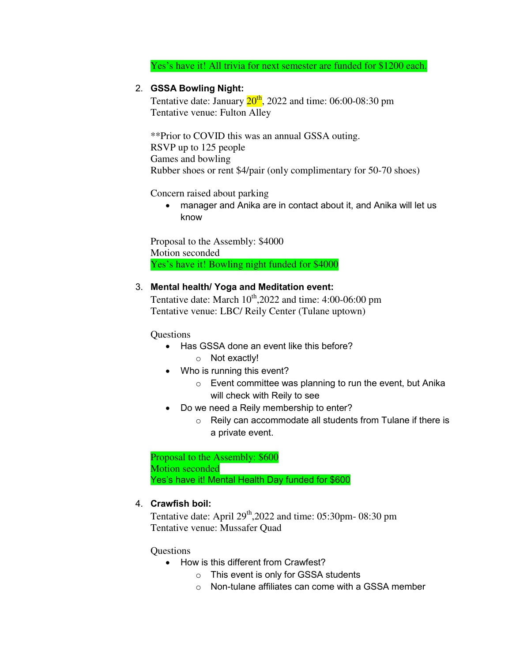Yes's have it! All trivia for next semester are funded for \$1200 each.

# 2. **GSSA Bowling Night:**

Tentative date: January  $20^{th}$ , 2022 and time: 06:00-08:30 pm Tentative venue: Fulton Alley

\*\*Prior to COVID this was an annual GSSA outing. RSVP up to 125 people Games and bowling Rubber shoes or rent \$4/pair (only complimentary for 50-70 shoes)

Concern raised about parking

 manager and Anika are in contact about it, and Anika will let us know

Proposal to the Assembly: \$4000 Motion seconded Yes's have it! Bowling night funded for \$4000

# 3. **Mental health/ Yoga and Meditation event:**

Tentative date: March  $10^{th}$ , 2022 and time: 4:00-06:00 pm Tentative venue: LBC/ Reily Center (Tulane uptown)

Questions

- Has GSSA done an event like this before?
	- o Not exactly!
- Who is running this event?
	- o Event committee was planning to run the event, but Anika will check with Reily to see
- Do we need a Reily membership to enter?
	- $\circ$  Reily can accommodate all students from Tulane if there is a private event.

Proposal to the Assembly: \$600 Motion seconded Yes's have it! Mental Health Day funded for \$600

# 4. **Crawfish boil:**

Tentative date: April  $29<sup>th</sup>$ , 2022 and time: 05:30pm- 08:30 pm Tentative venue: Mussafer Quad

### **Questions**

- How is this different from Crawfest?
	- o This event is only for GSSA students
	- o Non-tulane affiliates can come with a GSSA member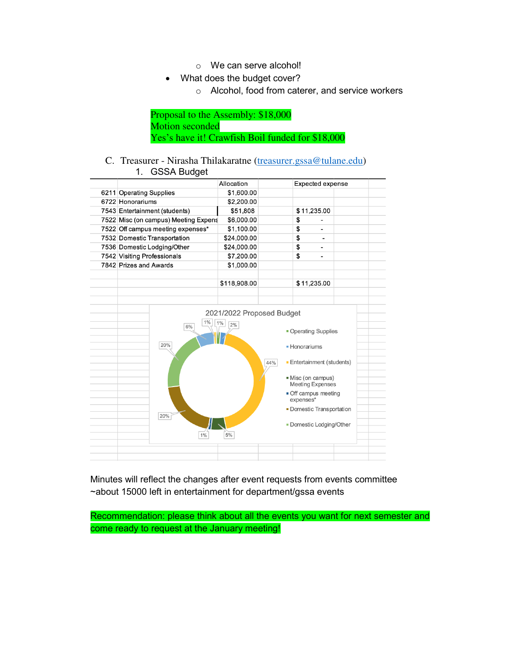- o We can serve alcohol!
- What does the budget cover?
	- o Alcohol, food from caterer, and service workers

Proposal to the Assembly: \$18,000 Motion seconded Yes's have it! Crawfish Boil funded for \$18,000

#### C. Treasurer - Nirasha Thilakaratne [\(treasurer.gssa@tulane.edu\)](mailto:treasurer.gssa@tulane.edu) 1. GSSA Budget

|                                      | Allocation                               |     | Expected expense                                                                                                                                                                 |  |
|--------------------------------------|------------------------------------------|-----|----------------------------------------------------------------------------------------------------------------------------------------------------------------------------------|--|
| 6211 Operating Supplies              | \$1,600.00                               |     |                                                                                                                                                                                  |  |
| 6722 Honorariums                     | \$2,200.00                               |     |                                                                                                                                                                                  |  |
| 7543 Entertainment (students)        | \$51,808                                 |     | \$11,235.00                                                                                                                                                                      |  |
| 7522 Misc (on campus) Meeting Expens | \$6,000.00                               |     | \$                                                                                                                                                                               |  |
| 7522 Off campus meeting expenses*    | \$1,100.00                               |     | \$                                                                                                                                                                               |  |
| 7532 Domestic Transportation         | \$24,000.00                              |     | \$                                                                                                                                                                               |  |
| 7536 Domestic Lodging/Other          | \$24,000.00                              |     | \$                                                                                                                                                                               |  |
| 7542 Visiting Professionals          | \$7,200.00                               |     | \$                                                                                                                                                                               |  |
| 7842 Prizes and Awards               | \$1,000.00                               |     |                                                                                                                                                                                  |  |
|                                      | \$118,908.00                             |     | \$11,235.00                                                                                                                                                                      |  |
|                                      |                                          |     |                                                                                                                                                                                  |  |
|                                      |                                          |     |                                                                                                                                                                                  |  |
| $1\%$                                | 2021/2022 Proposed Budget<br>$1\%$<br>2% |     |                                                                                                                                                                                  |  |
| 6%<br>20%<br>20%                     |                                          | 44% | • Operating Supplies<br>• Honorariums<br>• Entertainment (students)<br>Misc (on campus)<br><b>Meeting Expenses</b><br>Off campus meeting<br>expenses*<br>Domestic Transportation |  |
| 1%                                   | 5%                                       |     | Domestic Lodging/Other                                                                                                                                                           |  |

Minutes will reflect the changes after event requests from events committee ~about 15000 left in entertainment for department/gssa events

Recommendation: please think about all the events you want for next semester and come ready to request at the January meeting!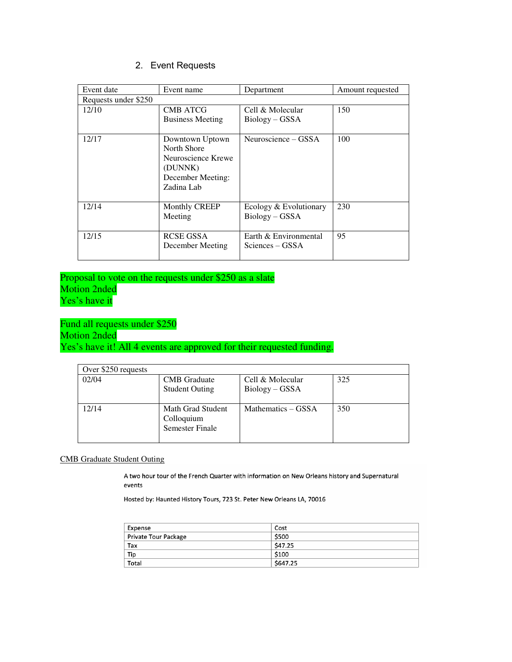# 2. Event Requests

| Event date           | Event name                                                                                         | Department                                 | Amount requested |
|----------------------|----------------------------------------------------------------------------------------------------|--------------------------------------------|------------------|
| Requests under \$250 |                                                                                                    |                                            |                  |
| 12/10                | <b>CMB ATCG</b><br><b>Business Meeting</b>                                                         | Cell & Molecular<br>$Biology - GSSA$       | 150              |
|                      |                                                                                                    |                                            |                  |
| 12/17                | Downtown Uptown<br>North Shore<br>Neuroscience Krewe<br>(DUNNK)<br>December Meeting:<br>Zadina Lab | Neuroscience – GSSA                        | 100              |
| 12/14                | Monthly CREEP<br>Meeting                                                                           | Ecology & Evolutionary<br>$Biology - GSSA$ | 230              |
| 12/15                | <b>RCSE GSSA</b><br>December Meeting                                                               | Earth & Environmental<br>Sciences – GSSA   | 95               |

Proposal to vote on the requests under \$250 as a slate Motion 2nded Yes's have it

Fund all requests under \$250 Motion 2nded Yes's have it! All 4 events are approved for their requested funding.

| Over \$250 requests |                                                           |                                      |     |
|---------------------|-----------------------------------------------------------|--------------------------------------|-----|
| 02/04               | <b>CMB</b> Graduate<br><b>Student Outing</b>              | Cell & Molecular<br>$Biology - GSSA$ | 325 |
|                     |                                                           |                                      |     |
| 12/14               | Math Grad Student<br>Colloquium<br><b>Semester Finale</b> | Mathematics – GSSA                   | 350 |

#### CMB Graduate Student Outing

A two hour tour of the French Quarter with information on New Orleans history and Supernatural events

Hosted by: Haunted History Tours, 723 St. Peter New Orleans LA, 70016

| Expense              | Cost     |
|----------------------|----------|
| Private Tour Package | \$500    |
| Tax                  | \$47.25  |
| Tip                  | \$100    |
| Total                | \$647.25 |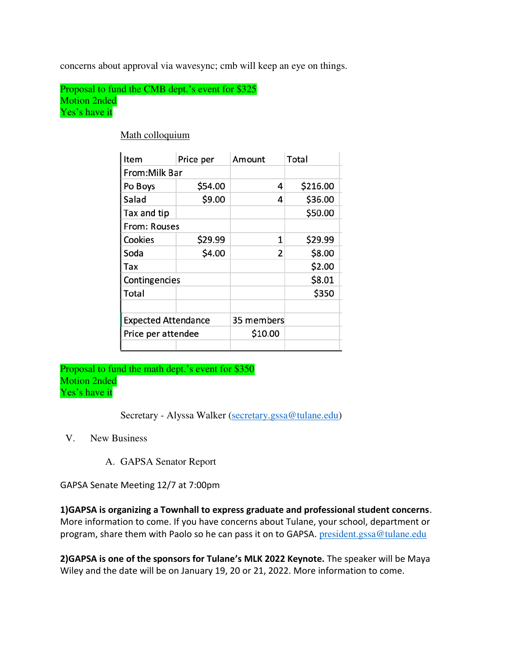concerns about approval via wavesync; cmb will keep an eye on things.

Proposal to fund the CMB dept.'s event for \$325 Motion 2nded Yes's have it

| Item                       | Price per | Amount     | Total    |
|----------------------------|-----------|------------|----------|
| From: Milk Bar             |           |            |          |
| Po Boys                    | \$54.00   | 4          | \$216.00 |
| Salad                      | \$9.00    | 4          | \$36.00  |
| Tax and tip                |           |            | \$50.00  |
| From: Rouses               |           |            |          |
| Cookies                    | \$29.99   | 1          | \$29.99  |
| Soda                       | \$4.00    | 2          | \$8.00   |
| Tax                        |           |            | \$2.00   |
| Contingencies              |           |            | \$8.01   |
| Total                      |           |            | \$350    |
|                            |           |            |          |
| <b>Expected Attendance</b> |           | 35 members |          |
| Price per attendee         |           | \$10.00    |          |
|                            |           |            |          |

Math colloquium

Proposal to fund the math dept.'s event for \$350 Motion 2nded Yes's have it

Secretary - Alyssa Walker [\(secretary.gssa@tulane.edu\)](mailto:secretary.gssa@tulane.edu)

V. New Business

A. GAPSA Senator Report

GAPSA Senate Meeting 12/7 at 7:00pm

**1)GAPSA is organizing a Townhall to express graduate and professional student concerns**. More information to come. If you have concerns about Tulane, your school, department or program, share them with Paolo so he can pass it on to GAPSA. [president.gssa@tulane.edu](mailto:president.gssa@tulane.edu)

**2)GAPSA is one of the sponsors for Tulane's MLK 2022 Keynote.** The speaker will be Maya Wiley and the date will be on January 19, 20 or 21, 2022. More information to come.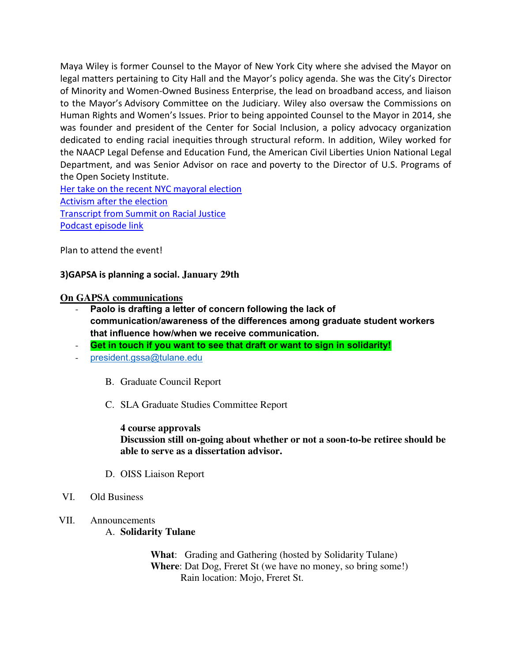Maya Wiley is former Counsel to the Mayor of New York City where she advised the Mayor on legal matters pertaining to City Hall and the Mayor's policy agenda. She was the City's Director of Minority and Women-Owned Business Enterprise, the lead on broadband access, and liaison to the Mayor's Advisory Committee on the Judiciary. Wiley also oversaw the Commissions on Human Rights and Women's Issues. Prior to being appointed Counsel to the Mayor in 2014, she was founder and president of the Center for Social Inclusion, a policy advocacy organization dedicated to ending racial inequities through structural reform. In addition, Wiley worked for the NAACP Legal Defense and Education Fund, the American Civil Liberties Union National Legal Department, and was Senior Advisor on race and poverty to the Director of U.S. Programs of the Open Society Institute.

[Her take on the recent NYC mayoral election](https://nam11.safelinks.protection.outlook.com/?url=https%3A%2F%2Fwww.washingtonpost.com%2Fopinions%2F2021%2F07%2F11%2Fmaya-wiley-nyc-mayor-ranked-choice-voting%2F&data=04%7C01%7Cpsuating%40tulane.edu%7Ce816a8d216244b0f1adb08d9bb5ada4c%7C9de9818325d94b139fc34de5489c1f3b%7C0%7C0%7C637746821162897568%7CUnknown%7CTWFpbGZsb3d8eyJWIjoiMC4wLjAwMDAiLCJQIjoiV2luMzIiLCJBTiI6Ik1haWwiLCJXVCI6Mn0%3D%7C3000&sdata=Tq8CYzaovvwT2rjUMS5lzY1CtAgeiq9s9SbobmJbaE4%3D&reserved=0) [Activism after the election](https://nam11.safelinks.protection.outlook.com/?url=https%3A%2F%2Fwww.thecity.nyc%2Fpolitics%2F2021%2F10%2F4%2F22709620%2Fmaya-wiley-nyc-childcare-senior-care-proposal-eric-adams&data=04%7C01%7Cpsuating%40tulane.edu%7Ce816a8d216244b0f1adb08d9bb5ada4c%7C9de9818325d94b139fc34de5489c1f3b%7C0%7C0%7C637746821162897568%7CUnknown%7CTWFpbGZsb3d8eyJWIjoiMC4wLjAwMDAiLCJQIjoiV2luMzIiLCJBTiI6Ik1haWwiLCJXVCI6Mn0%3D%7C3000&sdata=qOPBVrbe%2FO9eysg46yWWCF0RCmcdXg27hFDAbYMHMkM%3D&reserved=0) [Transcript from Summit on Racial Justice](https://nam11.safelinks.protection.outlook.com/?url=https%3A%2F%2Fwww.msnbc.com%2Fpodcast%2Ftranscript-maya-wiley-racial-justice-n1229426&data=04%7C01%7Cpsuating%40tulane.edu%7Ce816a8d216244b0f1adb08d9bb5ada4c%7C9de9818325d94b139fc34de5489c1f3b%7C0%7C0%7C637746821162897568%7CUnknown%7CTWFpbGZsb3d8eyJWIjoiMC4wLjAwMDAiLCJQIjoiV2luMzIiLCJBTiI6Ik1haWwiLCJXVCI6Mn0%3D%7C3000&sdata=XpkeeVT95RSd8OQ60XV4Jniq%2Fd3m72PeliR0ZMWtrxA%3D&reserved=0) [Podcast episode link](https://nam11.safelinks.protection.outlook.com/?url=https%3A%2F%2Fpodcasts.apple.com%2Fus%2Fpodcast%2Fmaya-wiley-racial-justice%2Fid1461312941%3Fi%3D1000477383756&data=04%7C01%7Cpsuating%40tulane.edu%7Ce816a8d216244b0f1adb08d9bb5ada4c%7C9de9818325d94b139fc34de5489c1f3b%7C0%7C0%7C637746821162897568%7CUnknown%7CTWFpbGZsb3d8eyJWIjoiMC4wLjAwMDAiLCJQIjoiV2luMzIiLCJBTiI6Ik1haWwiLCJXVCI6Mn0%3D%7C3000&sdata=SFabZzNiNGtYfJ8bWs2%2BTDYGSV5ntOTH9QBsXTK4DGI%3D&reserved=0)

Plan to attend the event!

# **3)GAPSA is planning a social. January 29th**

### **On GAPSA communications**

- Paolo is drafting a letter of concern following the lack of **communication/awareness of the differences among graduate student workers that influence how/when we receive communication.**
- **Get in touch if you want to see that draft or want to sign in solidarity!**
- [president.gssa@tulane.edu](mailto:president.gssa@tulane.edu)
	- B. Graduate Council Report
	- C. SLA Graduate Studies Committee Report

**4 course approvals Discussion still on-going about whether or not a soon-to-be retiree should be able to serve as a dissertation advisor.** 

- D. OISS Liaison Report
- VI. Old Business
- VII. Announcements A. **Solidarity Tulane**

**What**: Grading and Gathering (hosted by Solidarity Tulane) **Where**: Dat Dog, Freret St (we have no money, so bring some!) Rain location: Mojo, Freret St.